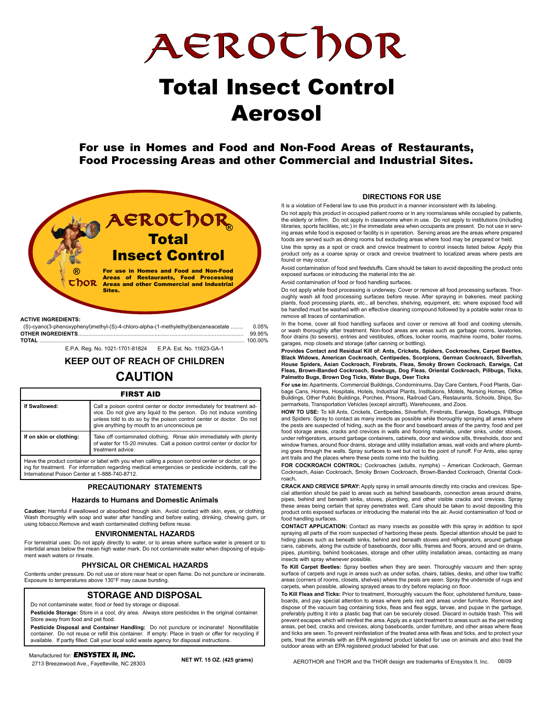AEROthor

# Total Insect Control Aerosol

For use in Homes and Food and Non-Food Areas of Restaurants, Food Processing Areas and other Commercial and Industrial Sites.



| AVIIVE INVILLUIENTU.                                                              |        |
|-----------------------------------------------------------------------------------|--------|
| (S)-cyano(3-phenoxyphenyl)methyl-(S)-4-chloro-alpha-(1-methylethyl)benzeneacetate | 0.05%  |
|                                                                                   | 99.95% |
|                                                                                   |        |

E.P.A. Reg. No. 1021-1701-81824 E.P.A. Est. No. 11623-GA-1

**KEEP OUT OF REACH OF CHILDREN CAUTION**

### FIRST AID

| If Swallowed:           | Call a poison control center or doctor immediately for treatment ad-<br>vice. Do not give any liquid to the person. Do not induce vomiting<br>unless told to do so by the poison control center or doctor. Do not<br>give anything by mouth to an unconscious pe |  |  |  |  |
|-------------------------|------------------------------------------------------------------------------------------------------------------------------------------------------------------------------------------------------------------------------------------------------------------|--|--|--|--|
| If on skin or clothing: | Take off contaminated clothing. Rinse skin immediately with plenty<br>of water for 15-20 minutes. Call a poison control center or doctor for<br>treatment advice.                                                                                                |  |  |  |  |
|                         |                                                                                                                                                                                                                                                                  |  |  |  |  |

Have the product container or label with you when calling a poison control center or doctor, or going for treatment. For information regarding medical emergencies or pesticide incidents, call the International Poison Center at 1-888-740-8712.

### **PRECAUTIONARY STATEMENTS**

#### **Hazards to Humans and Domestic Animals**

**Caution:** Harmful if swallowed or absorbed through skin. Avoid contact with skin, eyes, or clothing.<br>Wash thoroughly with soap and water after handling and before eating, drinking, chewing gum, or using tobacco.Remove and wash contaminated clothing before reuse.

#### **ENVIRONMENTAL HAZARDS**

For terrestrial uses: Do not apply directly to water, or to areas where surface water is present or to intertidal areas below the mean high water mark. Do not contaminate water when disposing of equipment wash waters or rinsate.

### **PHYSICAL OR CHEMICAL HAZARDS**

Contents under pressure. Do not use or store near heat or open flame. Do not puncture or incinerate. Exposure to temperatures above 130°F may cause bursting.

#### **STORAGE AND DISPOSAL**

Do not contaminate water, food or feed by storage or disposal.

**Pesticide Storage:** Store in a cool, dry area. Always store pesticides in the original container. Store away from food and pet food.

**Pesticide Disposal and Container Handling:** Do not puncture or incinerate! Nonrefillable container. Do not reuse or refill this container. If empty: Place in trash or offer for recycling if available. If partly filled: Call your local solid waste agency for disposal instructions.

### Manufactured for: *ENSYSTEX II, INC.* Manufactured for: *ENSYSTEX II, INC.*

2713 Breezewood Ave., Fayetteville, NC 28303 **NET WT. 15 OZ. (425 grams)** 2713 Breezewood Ave., Fayetteville, NC 28303

#### **DIRECTIONS FOR USE**

It is a violation of Federal law to use this product in a manner inconsistent with its labeling.

Do not apply this product in occupied patient rooms or in any rooms/areas while occupied by patients, the elderly or infirm. Do not apply in classrooms when in use. Do not apply to institutions (including libraries, sports facilities, etc.) in the immediate area when occupants are present. Do not use in serving areas while food is exposed or facility is in operation. Serving areas are the areas where prepared foods are served such as dining rooms but excluding areas where food may be prepared or held.

Use this spray as a spot or crack and crevice treatment to control insects listed below. Apply this product only as a coarse spray or crack and crevice treatment to localized areas where pests are found or may occur.

Avoid contamination of food and feedstuffs. Care should be taken to avoid depositing the product onto exposed surfaces or introducing the material into the air.

Avoid contamination of food or food handling surfaces.

Do not apply while food processing is underway. Cover or remove all food processing surfaces. Thoroughly wash all food processing surfaces before reuse. After spraying in bakeries, meat packing plants, food processing plants, etc., all benches, shelving, equipment, etc. where exposed food will be handled must be washed with an effective cleaning compound followed by a potable water rinse to remove all traces of contamination.

In the home, cover all food handling surfaces and cover or remove all food and cooking utensils, or wash thoroughly after treatment. Non-food areas are areas such as garbage rooms, lavatories, floor drains (to sewers), entries and vestibules, offices, locker rooms, machine rooms, boiler rooms, garages, mop closets and storage (after canning or bottling).

**Provides Contact and Residual Kill of: Ants, Crickets, Spiders, Cockroaches, Carpet Beetles, Black Widows, American Cockroach, Centipedes, Scorpions, German Cockroach, Silverfish, House Spiders, Asian Cockroach, Firebrats, Fleas, Smoky Brown Cockroach, Earwigs, Cat Fleas, Brown-Banded Cockroach, Sowbugs, Dog Fleas, Oriental Cockroach, Pillbugs, Ticks, Palmetto Bugs, Brown Dog Ticks, Water Bugs, Deer Ticks**

**For use in:** Apartments, Commercial Buildings, Condominiums, Day Care Centers, Food Plants, Garbage Cans, Homes, Hospitals, Hotels, Industrial Plants, Institutions, Motels, Nursing Homes, Office Buildings, Other Public Buildings, Porches, Prisons, Railroad Cars, Restaurants, Schools, Ships, Supermarkets, Transportation Vehicles (except aircraft), Warehouses, and Zoos.

**HOW TO USE:** To kill Ants, Crickets, Centipedes, Silverfish, Firebrats, Earwigs, Sowbugs, Pillbugs and Spiders: Spray to contact as many insects as possible while thoroughly spraying all areas where the pests are suspected of hiding, such as the floor and baseboard areas of the pantry, food and pet food storage areas, cracks and crevices in walls and flooring materials, under sinks, under stoves, under refrigerators, around garbage containers, cabinets, door and window sills, thresholds, door and window frames, around floor drains, storage and utility installation areas, wall voids and where plumbing goes through the walls. Spray surfaces to wet but not to the point of runoff. For Ants, also spray ant trails and the places where these pests come into the building.

**FOR COCKROACH CONTROL:** Cockroaches (adults, nymphs) – American Cockroach, German Cockroach, Asian Cockroach, Smoky Brown Cockroach, Brown-Banded Cockroach, Oriental Cockroach**.**

**CRACK AND CREVICE SPRAY:** Apply spray in small amounts directly into cracks and crevices. Special attention should be paid to areas such as behind baseboards, connection areas around drains, pipes, behind and beneath sinks, stoves, plumbing, and other visible cracks and crevices. Spray these areas being certain that spray penetrates well. Care should be taken to avoid depositing this product onto exposed surfaces or introducing the material into the air. Avoid contamination of food or food handling surfaces.

**CONTACT APPLICATION:** Contact as many insects as possible with this spray in addition to spot spraying all parts of the room suspected of harboring these pests. Special attention should be paid to hiding places such as beneath sinks, behind and beneath stoves and refrigerators, around garbage cans, cabinets, along the outside of baseboards, door sills, frames and floors, around and on drains, pipes, plumbing, behind bookcases, storage and other utility installation areas, contacting as many insects with spray whenever possible.

**To Kill Carpet Beetles:** Spray beetles when they are seen. Thoroughly vacuum and then spray surface of carpets and rugs in areas such as under sofas, chairs, tables, desks, and other low traffic areas (corners of rooms, closets, shelves) where the pests are seen. Spray the underside of rugs and carpets, when possible, allowing sprayed areas to dry before replacing on floor.

**To Kill Fleas and Ticks:** Prior to treatment, thoroughly vacuum the floor, upholstered furniture, baseboards, and pay special attention to areas where pets rest and areas under furniture. Remove and dispose of the vacuum bag containing ticks, fleas and flea eggs, larvae, and pupae in the garbage, preferably putting it into a plastic bag that can be securely closed. Discard in outside trash. This will prevent escapes which will reinfest the area. Apply as a spot treatment to areas such as the pet resting areas, pet bed, cracks and crevices, along baseboards, under furniture, and other areas where fleas and ticks are seen. To prevent reinfestation of the treated area with fleas and ticks, and to protect your pets, treat the animals with an EPA registered product labeled for use on animals and also treat the outdoor areas with an EPA registered product labeled for that use.

AEROTHOR and THOR and the THOR design are trademarks of Ensystex II, Inc. 08/09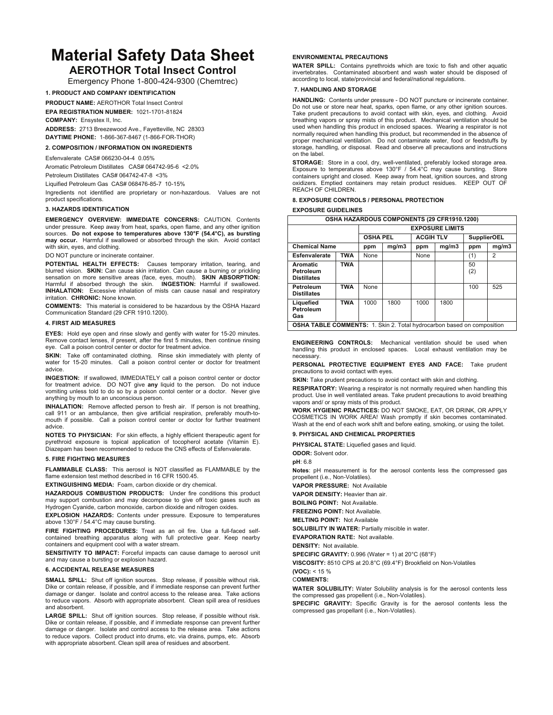# **Material Safety Data Sheet**

## **AEROTHOR Total Insect Control**

Emergency Phone 1-800-424-9300 (Chemtrec)

#### **1. PRODUCT AND COMPANY IDENTIFICATION**

**PRODUCT NAME:** AEROTHOR Total Insect Control **EPA REGISTRATION NUMBER:** 1021-1701-81824 **COMPANY:** Ensystex II, Inc.

**ADDRESS:** 2713 Breezewood Ave., Fayetteville, NC 28303 **DAYTIME PHONE:** 1-866-367-8467 (1-866-FOR-THOR)

**2. COMPOSITION / INFORMATION ON INGREDIENTS** 

#### Esfenvalerate CAS# 066230-04-4 0.05%

Aromatic Petroleum Distillates CAS# 064742-95-6 <2.0%

Petroleum Distillates CAS# 064742-47-8 <3%

Liquified Petroleum Gas CAS# 068476-85-7 10-15%

Ingredients not identified are proprietary or non-hazardous. Values are not product specifications.

#### **3. HAZARDS IDENTIFICATION**

**EMERGENCY OVERVIEW: IMMEDIATE CONCERNS:** CAUTION. Contents under pressure. Keep away from heat, sparks, open flame, and any other ignition sources. **Do not expose to temperatures above 130°F (54.4°C), as bursting may occur.** Harmful if swallowed or absorbed through the skin. Avoid contact with skin, eyes, and clothing.

DO NOT puncture or incinerate container.

POTENTIAL HEALTH EFFECTS: Causes temporary irritation, tearing, and blurred vision. **SKIN:** Can cause skin irritation. Can cause a burning or prickling sensation on more sensitive areas (face, eyes, mouth). **SKIN ABSORPTION:** Harmful if absorbed through the skin. **INGESTION:** Harmful if swallowed. **INHALATION:** Excessive inhalation of mists can cause nasal and respiratory irritation. **CHRONIC:** None known.

**COMMENTS:** This material is considered to be hazardous by the OSHA Hazard Communication Standard (29 CFR 1910.1200).

#### **4. FIRST AID MEASURES**

**EYES:** Hold eye open and rinse slowly and gently with water for 15-20 minutes. Remove contact lenses, if present, after the first 5 minutes, then continue rinsing eye. Call a poison control center or doctor for treatment advice.

**SKIN:** Take off contaminated clothing. Rinse skin immediately with plenty of water for 15-20 minutes. Call a poison control center or doctor for treatment advice.

**INGESTION:** If swallowed, IMMEDIATELY call a poison control center or doctor for treatment advice. DO NOT give **any** liquid to the person. Do not induce vomiting unless told to do so by a poison contol center or a doctor. Never give anything by mouth to an unconscious person.

**INHALATION:** Remove affected person to fresh air. If person is not breathing, call 911 or an ambulance, then give artificial respiration, preferably mouth-tomouth if possible. Call a poison control center or doctor for further treatment advice.

**NOTES TO PHYSICIAN:** For skin effects, a highly efficient therapeutic agent for pyrethroid exposure is topical application of tocopherol acetate (Vitamin E). Diazepam has been recommended to reduce the CNS effects of Esfenvalerate.

#### **5. FIRE FIGHTING MEASURES**

**FLAMMABLE CLASS:** This aerosol is NOT classified as FLAMMABLE by the flame extension test method described in 16 CFR 1500.45.

**EXTINGUISHING MEDIA:** Foam, carbon dioxide or dry chemical.

**HAZARDOUS COMBUSTION PRODUCTS:** Under fire conditions this product may support combustion and may decompose to give off toxic gases such as Hydrogen Cyanide, carbon monoxide, carbon dioxide and nitrogen oxides.

**EXPLOSION HAZARDS:** Contents under pressure. Exposure to temperatures above 130°F / 54.4°C may cause bursting.

**FIRE FIGHTING PROCEDURES:** Treat as an oil fire. Use a full-faced selfcontained breathing apparatus along with full protective gear. Keep nearby containers and equipment cool with a water stream.

**SENSITIVITY TO IMPACT:** Forceful impacts can cause damage to aerosol unit and may cause a bursting or explosion hazard.

#### **6. ACCIDENTAL RELEASE MEASURES**

**SMALL SPILL:** Shut off ignition sources. Stop release, if possible without risk. Dike or contain release, if possible, and if immediate response can prevent further damage or danger. Isolate and control access to the release area. Take actions to reduce vapors. Absorb with appropriate absorbent. Clean spill area of residues and absorbent.

**LARGE SPILL:** Shut off ignition sources. Stop release, if possible without risk. Dike or contain release, if possible, and if immediate response can prevent further damage or danger. Isolate and control access to the release area. Take actions to reduce vapors. Collect product into drums, etc. via drains, pumps, etc. Absorb with appropriate absorbent. Clean spill area of residues and absorbent.

#### **ENVIRONMENTAL PRECAUTIONS**

**WATER SPILL:** Contains pyrethroids which are toxic to fish and other aquatic invertebrates. Contaminated absorbent and wash water should be disposed of according to local, state/provincial and federal/national regulations.

#### **7. HANDLING AND STORAGE**

**HANDLING:** Contents under pressure - DO NOT puncture or incinerate container. Do not use or store near heat, sparks, open flame, or any other ignition sources. Take prudent precautions to avoid contact with skin, eyes, and clothing. Avoid breathing vapors or spray mists of this product. Mechanical ventilation should be used when handling this product in enclosed spaces. Wearing a respirator is not normally required when handling this product, but recommended in the absence of proper mechanical ventilation. Do not contaminate water, food or feedstuffs by storage, handling, or disposal. Read and observe all precautions and instructions on the label.

**STORAGE:** Store in a cool, dry, well-ventilated, preferably locked storage area. Exposure to temperatures above 130°F / 54.4°C may cause bursting. Store containers upright and closed. Keep away from heat, ignition sources, and strong oxidizers. Emptied containers may retain product residues. KEEP OUT OF REACH OF CHILDREN.

#### **8. EXPOSURE CONTROLS / PERSONAL PROTECTION**

**EXPOSURE GUIDELINES** 

| <b>OSHA HAZARDOUS COMPONENTS (29 CFR1910.1200)</b>                            |            |                        |       |                  |       |                    |       |  |  |
|-------------------------------------------------------------------------------|------------|------------------------|-------|------------------|-------|--------------------|-------|--|--|
|                                                                               |            | <b>EXPOSURE LIMITS</b> |       |                  |       |                    |       |  |  |
|                                                                               |            | <b>OSHA PEL</b>        |       | <b>ACGIH TLV</b> |       | <b>SupplierOEL</b> |       |  |  |
| <b>Chemical Name</b>                                                          |            | ppm                    | mg/m3 | ppm              | mg/m3 | ppm                | mg/m3 |  |  |
| Esfenvalerate                                                                 | TWA        | None                   |       | None             |       | (1)                | 2     |  |  |
| <b>Aromatic</b><br>Petroleum<br><b>Distillates</b>                            | <b>TWA</b> |                        |       |                  |       | 50<br>(2)          |       |  |  |
| Petroleum<br><b>Distillates</b>                                               | <b>TWA</b> | None                   |       |                  |       | 100                | 525   |  |  |
| Liquefied<br>Petroleum<br>Gas                                                 | <b>TWA</b> | 1000                   | 1800  | 1000             | 1800  |                    |       |  |  |
| <b>OSHA TABLE COMMENTS:</b> 1. Skin 2. Total hydrocarbon based on composition |            |                        |       |                  |       |                    |       |  |  |

**ENGINEERING CONTROLS:** Mechanical ventilation should be used when handling this product in enclosed spaces. Local exhaust ventilation may be necessary.

**PERSONAL PROTECTIVE EQUIPMENT EYES AND FACE:** Take prudent precautions to avoid contact with eyes.

**SKIN:** Take prudent precautions to avoid contact with skin and clothing.

**RESPIRATORY:** Wearing a respirator is not normally required when handling this product. Use in well ventilated areas. Take prudent precautions to avoid breathing vapors and/ or spray mists of this product.

**WORK HYGIENIC PRACTICES:** DO NOT SMOKE, EAT, OR DRINK, OR APPLY COSMETICS IN WORK AREA! Wash promptly if skin becomes contaminated. Wash at the end of each work shift and before eating, smoking, or using the toilet.

#### **9. PHYSICAL AND CHEMICAL PROPERTIES**

**PHYSICAL STATE:** Liquefied gases and liquid.

**ODOR:** Solvent odor.

**pH**: 6.8

**Notes**: pH measurement is for the aerosol contents less the compressed gas propellent (i.e., Non-Volatiles).

**VAPOR PRESSURE:** Not Available

**VAPOR DENSITY:** Heavier than air.

**BOILING POINT:** Not Available.

**FREEZING POINT:** Not Available.

**MELTING POINT:** Not Available

**SOLUBILITY IN WATER:** Partially miscible in water.

**EVAPORATION RATE:** Not available.

**DENSITY:** Not available.

**SPECIFIC GRAVITY:** 0.996 (Water = 1) at 20°C (68°F)

**VISCOSITY:** 8510 CPS at 20.8°C (69.4°F) Brookfield on Non-Volatiles

**(VOC):** < 15 % C**OMMENTS:** 

**WATER SOLUBILITY:** Water Solubility analysis is for the aerosol contents less the compressed gas propellent (i.e., Non-Volatiles).

**SPECIFIC GRAVITY:** Specific Gravity is for the aerosol contents less the compressed gas propellant (i.e., Non-Volatiles).